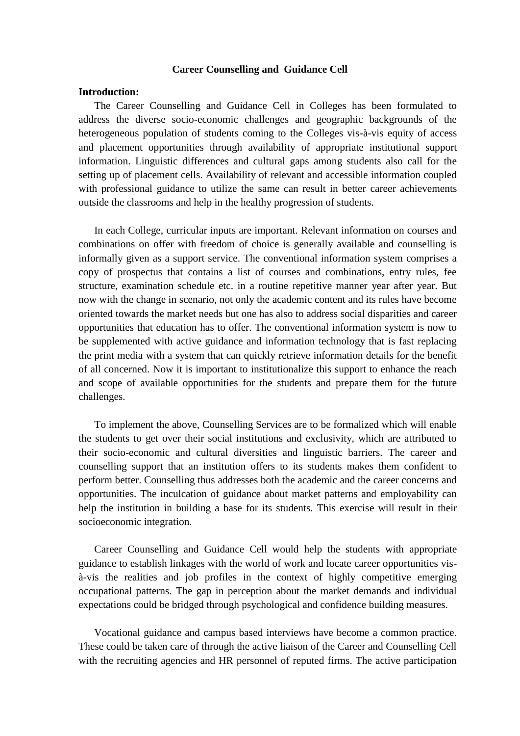## **Career Counselling and Guidance Cell**

# **Introduction:**

The Career Counselling and Guidance Cell in Colleges has been formulated to address the diverse socio-economic challenges and geographic backgrounds of the heterogeneous population of students coming to the Colleges vis-à-vis equity of access and placement opportunities through availability of appropriate institutional support information. Linguistic differences and cultural gaps among students also call for the setting up of placement cells. Availability of relevant and accessible information coupled with professional guidance to utilize the same can result in better career achievements outside the classrooms and help in the healthy progression of students.

In each College, curricular inputs are important. Relevant information on courses and combinations on offer with freedom of choice is generally available and counselling is informally given as a support service. The conventional information system comprises a copy of prospectus that contains a list of courses and combinations, entry rules, fee structure, examination schedule etc. in a routine repetitive manner year after year. But now with the change in scenario, not only the academic content and its rules have become oriented towards the market needs but one has also to address social disparities and career opportunities that education has to offer. The conventional information system is now to be supplemented with active guidance and information technology that is fast replacing the print media with a system that can quickly retrieve information details for the benefit of all concerned. Now it is important to institutionalize this support to enhance the reach and scope of available opportunities for the students and prepare them for the future challenges.

To implement the above, Counselling Services are to be formalized which will enable the students to get over their social institutions and exclusivity, which are attributed to their socio-economic and cultural diversities and linguistic barriers. The career and counselling support that an institution offers to its students makes them confident to perform better. Counselling thus addresses both the academic and the career concerns and opportunities. The inculcation of guidance about market patterns and employability can help the institution in building a base for its students. This exercise will result in their socioeconomic integration.

Career Counselling and Guidance Cell would help the students with appropriate guidance to establish linkages with the world of work and locate career opportunities visà-vis the realities and job profiles in the context of highly competitive emerging occupational patterns. The gap in perception about the market demands and individual expectations could be bridged through psychological and confidence building measures.

Vocational guidance and campus based interviews have become a common practice. These could be taken care of through the active liaison of the Career and Counselling Cell with the recruiting agencies and HR personnel of reputed firms. The active participation